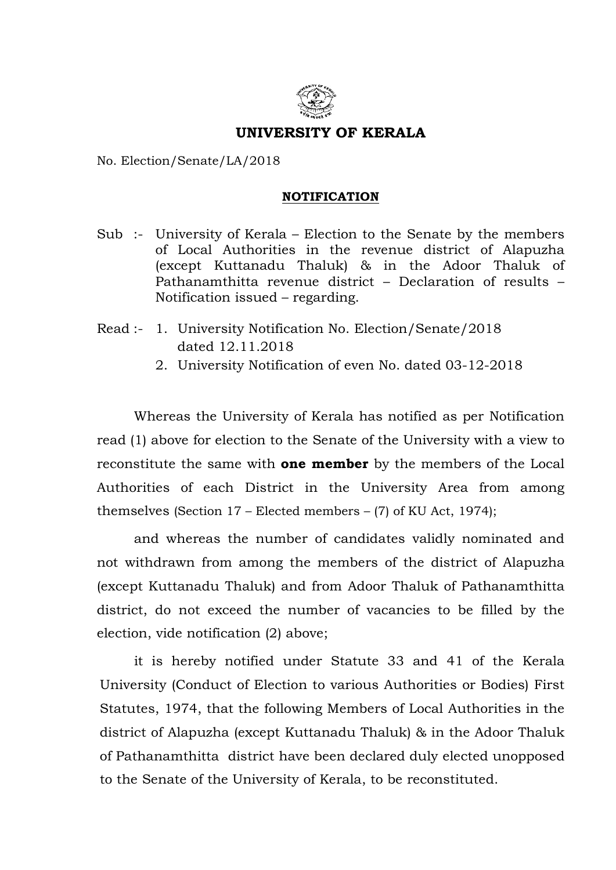

## UNIVERSITY OF KERALA

No. Election/Senate/LA/2018

## **NOTIFICATION**

- Sub :- University of Kerala Election to the Senate by the members of Local Authorities in the revenue district of Alapuzha (except Kuttanadu Thaluk) & in the Adoor Thaluk of Pathanamthitta revenue district – Declaration of results – Notification issued – regarding.
- Read :- 1. University Notification No. Election/Senate/2018 dated 12.11.2018
	- 2. University Notification of even No. dated 03-12-2018

 Whereas the University of Kerala has notified as per Notification read (1) above for election to the Senate of the University with a view to reconstitute the same with **one member** by the members of the Local Authorities of each District in the University Area from among themselves (Section 17 – Elected members – (7) of KU Act, 1974);

and whereas the number of candidates validly nominated and not withdrawn from among the members of the district of Alapuzha (except Kuttanadu Thaluk) and from Adoor Thaluk of Pathanamthitta district, do not exceed the number of vacancies to be filled by the election, vide notification (2) above;

 it is hereby notified under Statute 33 and 41 of the Kerala University (Conduct of Election to various Authorities or Bodies) First Statutes, 1974, that the following Members of Local Authorities in the district of Alapuzha (except Kuttanadu Thaluk) & in the Adoor Thaluk of Pathanamthitta district have been declared duly elected unopposed to the Senate of the University of Kerala, to be reconstituted.